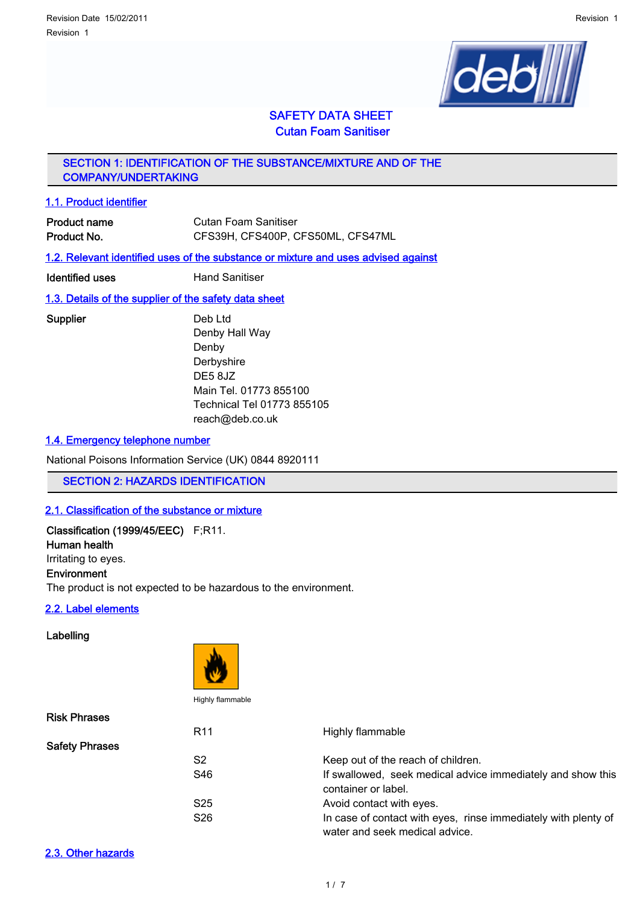

# SAFETY DATA SHEET Cutan Foam Sanitiser

SECTION 1: IDENTIFICATION OF THE SUBSTANCE/MIXTURE AND OF THE COMPANY/UNDERTAKING

#### 1.1. Product identifier

| <b>Product name</b> | Cutan Foam Sanitiser              |
|---------------------|-----------------------------------|
| Product No.         | CFS39H, CFS400P, CFS50ML, CFS47ML |

#### 1.2. Relevant identified uses of the substance or mixture and uses advised against

**Identified uses** Hand Sanitiser

## 1.3. Details of the supplier of the safety data sheet

#### Supplier Deb Ltd

Denby Hall Way Denby Derbyshire DE5 8JZ Main Tel. 01773 855100 Technical Tel 01773 855105 reach@deb.co.uk

#### 1.4. Emergency telephone number

National Poisons Information Service (UK) 0844 8920111

SECTION 2: HAZARDS IDENTIFICATION

## 2.1. Classification of the substance or mixture

# Classification (1999/45/EEC) F;R11.

Human health Irritating to eyes.

# Environment

The product is not expected to be hazardous to the environment.

#### 2.2. Label elements

### Labelling



Risk Phrases R11 Highly flammable Safety Phrases S2 Keep out of the reach of children. S46 **If swallowed, seek medical advice immediately and show this** container or label. S25 Avoid contact with eyes. S26 In case of contact with eyes, rinse immediately with plenty of water and seek medical advice.

#### 2.3. Other hazards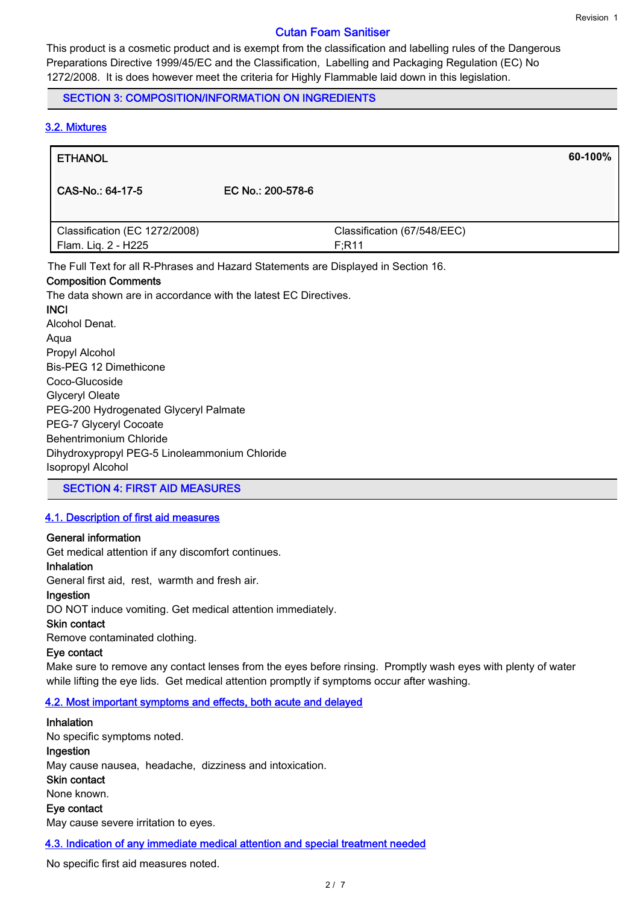## Cutan Foam Sanitiser

This product is a cosmetic product and is exempt from the classification and labelling rules of the Dangerous Preparations Directive 1999/45/EC and the Classification, Labelling and Packaging Regulation (EC) No 1272/2008. It is does however meet the criteria for Highly Flammable laid down in this legislation.

# SECTION 3: COMPOSITION/INFORMATION ON INGREDIENTS

# 3.2. Mixtures

| <b>ETHANOL</b>                                       |                   |                                       | 60-100% |
|------------------------------------------------------|-------------------|---------------------------------------|---------|
| CAS-No.: 64-17-5                                     | EC No.: 200-578-6 |                                       |         |
| Classification (EC 1272/2008)<br>Flam. Liq. 2 - H225 |                   | Classification (67/548/EEC)<br>F; R11 |         |

The Full Text for all R-Phrases and Hazard Statements are Displayed in Section 16.

#### Composition Comments

The data shown are in accordance with the latest EC Directives.

**INCI** Alcohol Denat. Aqua Propyl Alcohol Bis-PEG 12 Dimethicone Coco-Glucoside Glyceryl Oleate PEG-200 Hydrogenated Glyceryl Palmate PEG-7 Glyceryl Cocoate Behentrimonium Chloride Dihydroxypropyl PEG-5 Linoleammonium Chloride Isopropyl Alcohol

SECTION 4: FIRST AID MEASURES

## 4.1. Description of first aid measures

## General information

Get medical attention if any discomfort continues.

#### Inhalation

General first aid, rest, warmth and fresh air.

# Ingestion

DO NOT induce vomiting. Get medical attention immediately.

#### Skin contact

Remove contaminated clothing.

### Eye contact

Make sure to remove any contact lenses from the eyes before rinsing. Promptly wash eyes with plenty of water while lifting the eye lids. Get medical attention promptly if symptoms occur after washing.

## 4.2. Most important symptoms and effects, both acute and delayed

## Inhalation

No specific symptoms noted. Ingestion May cause nausea, headache, dizziness and intoxication. Skin contact None known. Eye contact May cause severe irritation to eyes.

#### 4.3. Indication of any immediate medical attention and special treatment needed

No specific first aid measures noted.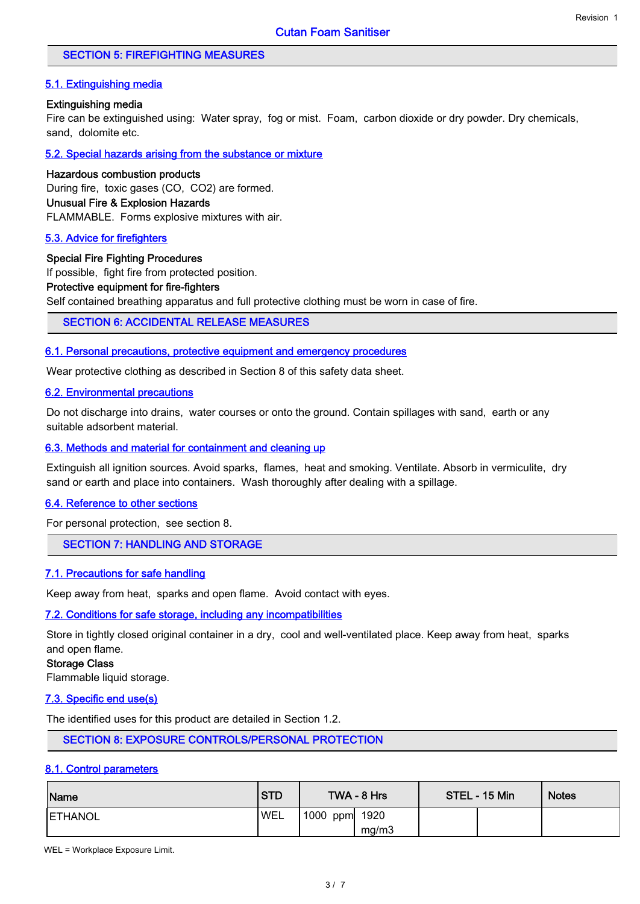# SECTION 5: FIREFIGHTING MEASURES

# 5.1. Extinguishing media

## Extinguishing media

Fire can be extinguished using: Water spray, fog or mist. Foam, carbon dioxide or dry powder. Dry chemicals, sand, dolomite etc.

5.2. Special hazards arising from the substance or mixture

## Hazardous combustion products

During fire, toxic gases (CO, CO2) are formed. Unusual Fire & Explosion Hazards

FLAMMABLE. Forms explosive mixtures with air.

## 5.3. Advice for firefighters

#### Special Fire Fighting Procedures

If possible, fight fire from protected position.

## Protective equipment for fire-fighters

Self contained breathing apparatus and full protective clothing must be worn in case of fire.

SECTION 6: ACCIDENTAL RELEASE MEASURES

## 6.1. Personal precautions, protective equipment and emergency procedures

Wear protective clothing as described in Section 8 of this safety data sheet.

# 6.2. Environmental precautions

Do not discharge into drains, water courses or onto the ground. Contain spillages with sand, earth or any suitable adsorbent material.

## 6.3. Methods and material for containment and cleaning up

Extinguish all ignition sources. Avoid sparks, flames, heat and smoking. Ventilate. Absorb in vermiculite, dry sand or earth and place into containers. Wash thoroughly after dealing with a spillage.

#### 6.4. Reference to other sections

For personal protection, see section 8.

## SECTION 7: HANDLING AND STORAGE

## 7.1. Precautions for safe handling

Keep away from heat, sparks and open flame. Avoid contact with eyes.

## 7.2. Conditions for safe storage, including any incompatibilities

Store in tightly closed original container in a dry, cool and well-ventilated place. Keep away from heat, sparks and open flame.

#### Storage Class

Flammable liquid storage.

## 7.3. Specific end use(s)

The identified uses for this product are detailed in Section 1.2.

SECTION 8: EXPOSURE CONTROLS/PERSONAL PROTECTION

## 8.1. Control parameters

| Name            | <b>STD</b> |               | TWA - 8 Hrs | STEL - 15 Min | <b>Notes</b> |
|-----------------|------------|---------------|-------------|---------------|--------------|
| <b>IETHANOL</b> | 'WEL       | 1000 ppm 1920 |             |               |              |
|                 |            |               | mg/m3       |               |              |

WEL = Workplace Exposure Limit.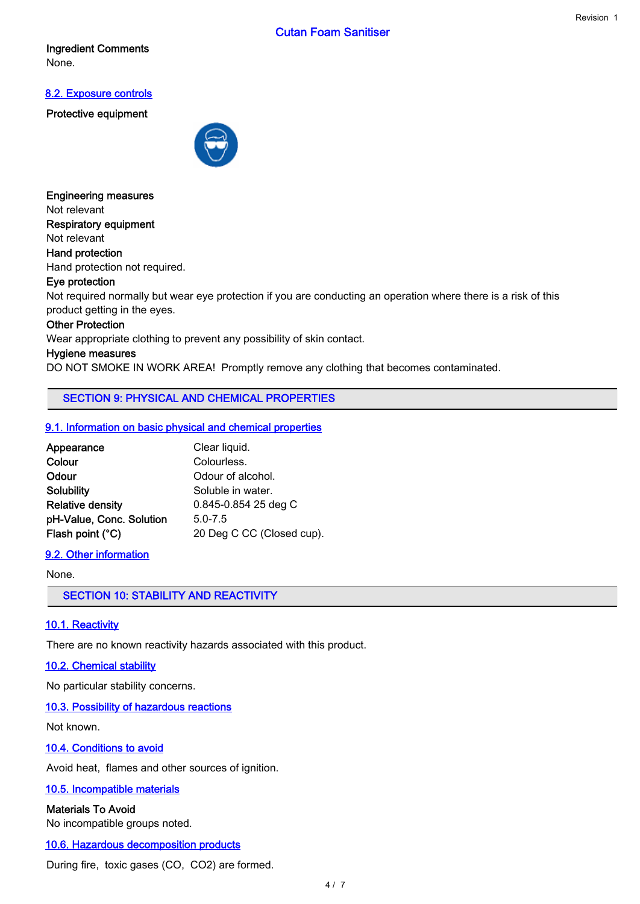# Cutan Foam Sanitiser

## Ingredient Comments None.

# 8.2. Exposure controls

Protective equipment



Engineering measures Not relevant Respiratory equipment Not relevant Hand protection Hand protection not required. Eye protection

# Not required normally but wear eye protection if you are conducting an operation where there is a risk of this product getting in the eyes.

#### Other Protection

Wear appropriate clothing to prevent any possibility of skin contact.

### Hygiene measures

DO NOT SMOKE IN WORK AREA! Promptly remove any clothing that becomes contaminated.

SECTION 9: PHYSICAL AND CHEMICAL PROPERTIES

## 9.1. Information on basic physical and chemical properties

| Appearance               | Clear liquid.             |
|--------------------------|---------------------------|
| Colour                   | Colourless.               |
| Odour                    | Odour of alcohol.         |
| <b>Solubility</b>        | Soluble in water.         |
| <b>Relative density</b>  | 0.845-0.854 25 deg C      |
| pH-Value, Conc. Solution | $5.0 - 7.5$               |
| Flash point (°C)         | 20 Deg C CC (Closed cup). |

# 9.2. Other information

#### None.

SECTION 10: STABILITY AND REACTIVITY

## 10.1. Reactivity

There are no known reactivity hazards associated with this product.

## 10.2. Chemical stability

No particular stability concerns.

## 10.3. Possibility of hazardous reactions

Not known.

## 10.4. Conditions to avoid

Avoid heat, flames and other sources of ignition.

#### 10.5. Incompatible materials

## Materials To Avoid

No incompatible groups noted.

## 10.6. Hazardous decomposition products

During fire, toxic gases (CO, CO2) are formed.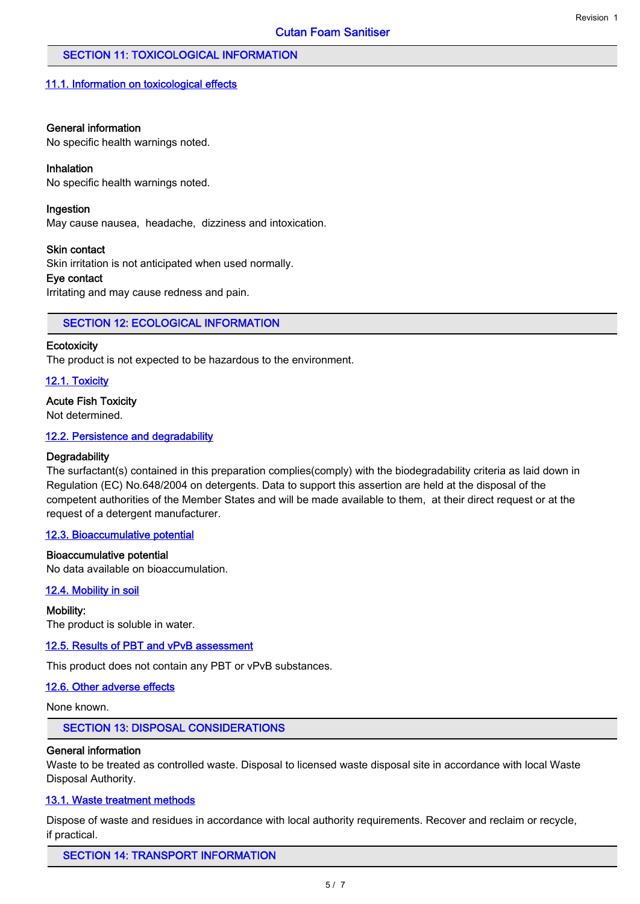# SECTION 11: TOXICOLOGICAL INFORMATION

#### 11.1. Information on toxicological effects

#### General information

No specific health warnings noted.

#### Inhalation

No specific health warnings noted.

#### Ingestion

May cause nausea, headache, dizziness and intoxication.

#### Skin contact

Skin irritation is not anticipated when used normally.

## Eye contact

Irritating and may cause redness and pain.

## SECTION 12: ECOLOGICAL INFORMATION

#### **Ecotoxicity**

The product is not expected to be hazardous to the environment.

#### 12.1. Toxicity

#### Acute Fish Toxicity

Not determined.

#### 12.2. Persistence and degradability

#### **Degradability**

The surfactant(s) contained in this preparation complies(comply) with the biodegradability criteria as laid down in Regulation (EC) No.648/2004 on detergents. Data to support this assertion are held at the disposal of the competent authorities of the Member States and will be made available to them, at their direct request or at the request of a detergent manufacturer.

#### 12.3. Bioaccumulative potential

#### Bioaccumulative potential

No data available on bioaccumulation.

#### 12.4. Mobility in soil

#### Mobility:

The product is soluble in water.

#### 12.5. Results of PBT and vPvB assessment

This product does not contain any PBT or vPvB substances.

#### 12.6. Other adverse effects

None known.

### SECTION 13: DISPOSAL CONSIDERATIONS

#### General information

Waste to be treated as controlled waste. Disposal to licensed waste disposal site in accordance with local Waste Disposal Authority.

#### 13.1. Waste treatment methods

Dispose of waste and residues in accordance with local authority requirements. Recover and reclaim or recycle, if practical.

# SECTION 14: TRANSPORT INFORMATION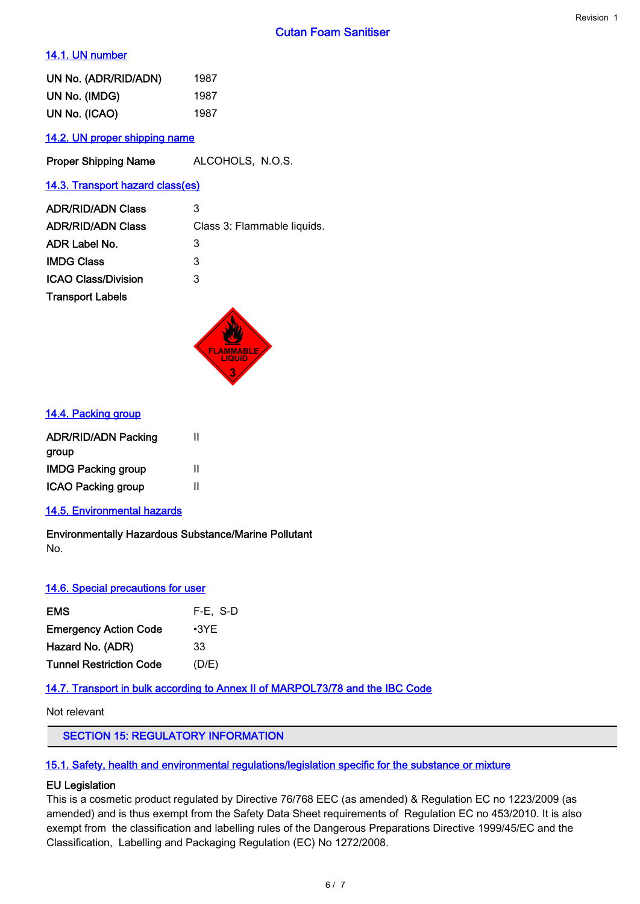# 14.1. UN number

| UN No. (ADR/RID/ADN) | 1987 |
|----------------------|------|
| UN No. (IMDG)        | 1987 |
| UN No. (ICAO)        | 1987 |

# 14.2. UN proper shipping name

Proper Shipping Name ALCOHOLS, N.O.S.

## 14.3. Transport hazard class(es)

| <b>ADR/RID/ADN Class</b>   | 3                           |
|----------------------------|-----------------------------|
| <b>ADR/RID/ADN Class</b>   | Class 3: Flammable liquids. |
| ADR Label No.              | 3                           |
| <b>IMDG Class</b>          | 3                           |
| <b>ICAO Class/Division</b> | 3                           |
| <b>Transport Labels</b>    |                             |
|                            |                             |



#### 14.4. Packing group

| <b>ADR/RID/ADN Packing</b> | н |
|----------------------------|---|
| group                      |   |
| <b>IMDG Packing group</b>  | н |
| <b>ICAO Packing group</b>  | Ш |

# 14.5. Environmental hazards

Environmentally Hazardous Substance/Marine Pollutant No.

## 14.6. Special precautions for user

| <b>EMS</b>                     | F-E, S-D    |
|--------------------------------|-------------|
| <b>Emergency Action Code</b>   | $\cdot$ 3YE |
| Hazard No. (ADR)               | 33          |
| <b>Tunnel Restriction Code</b> | (D/E)       |

## 14.7. Transport in bulk according to Annex II of MARPOL73/78 and the IBC Code

Not relevant

# SECTION 15: REGULATORY INFORMATION

#### 15.1. Safety, health and environmental regulations/legislation specific for the substance or mixture

# EU Legislation

This is a cosmetic product regulated by Directive 76/768 EEC (as amended) & Regulation EC no 1223/2009 (as amended) and is thus exempt from the Safety Data Sheet requirements of Regulation EC no 453/2010. It is also exempt from the classification and labelling rules of the Dangerous Preparations Directive 1999/45/EC and the Classification, Labelling and Packaging Regulation (EC) No 1272/2008.